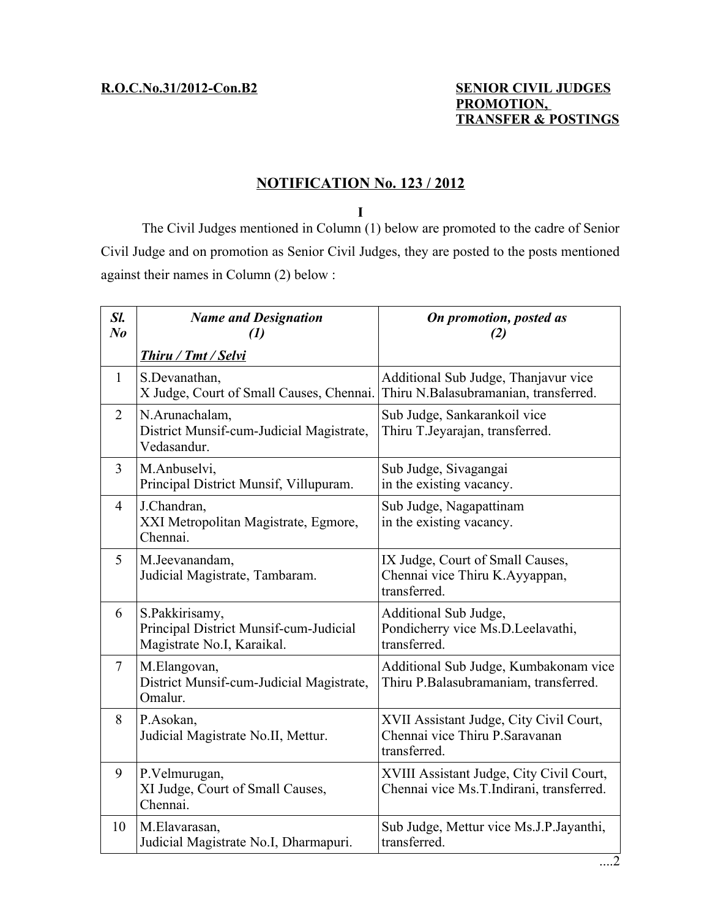#### **R.O.C.No.31/2012-Con.B2 SENIOR CIVIL JUDGES PROMOTION, TRANSFER & POSTINGS**

# **NOTIFICATION No. 123 / 2012**

**I**

The Civil Judges mentioned in Column (1) below are promoted to the cadre of Senior Civil Judge and on promotion as Senior Civil Judges, they are posted to the posts mentioned against their names in Column (2) below :

| Sl.<br>N <sub>o</sub> | <b>Name and Designation</b><br>$\mathcal{L}(I)$                                        | On promotion, posted as<br>(2)                                                             |
|-----------------------|----------------------------------------------------------------------------------------|--------------------------------------------------------------------------------------------|
|                       | Thiru / Tmt / Selvi                                                                    |                                                                                            |
| $\mathbf{1}$          | S.Devanathan,<br>X Judge, Court of Small Causes, Chennai.                              | Additional Sub Judge, Thanjavur vice<br>Thiru N.Balasubramanian, transferred.              |
| $\overline{2}$        | N.Arunachalam,<br>District Munsif-cum-Judicial Magistrate,<br>Vedasandur.              | Sub Judge, Sankarankoil vice<br>Thiru T.Jeyarajan, transferred.                            |
| 3                     | M.Anbuselvi,<br>Principal District Munsif, Villupuram.                                 | Sub Judge, Sivagangai<br>in the existing vacancy.                                          |
| $\overline{4}$        | J.Chandran,<br>XXI Metropolitan Magistrate, Egmore,<br>Chennai.                        | Sub Judge, Nagapattinam<br>in the existing vacancy.                                        |
| 5                     | M.Jeevanandam,<br>Judicial Magistrate, Tambaram.                                       | IX Judge, Court of Small Causes,<br>Chennai vice Thiru K.Ayyappan,<br>transferred.         |
| 6                     | S.Pakkirisamy,<br>Principal District Munsif-cum-Judicial<br>Magistrate No.I, Karaikal. | Additional Sub Judge,<br>Pondicherry vice Ms.D.Leelavathi,<br>transferred.                 |
| $\tau$                | M.Elangovan,<br>District Munsif-cum-Judicial Magistrate,<br>Omalur.                    | Additional Sub Judge, Kumbakonam vice<br>Thiru P.Balasubramaniam, transferred.             |
| 8                     | P.Asokan,<br>Judicial Magistrate No.II, Mettur.                                        | XVII Assistant Judge, City Civil Court,<br>Chennai vice Thiru P. Saravanan<br>transferred. |
| 9                     | P.Velmurugan,<br>XI Judge, Court of Small Causes,<br>Chennai.                          | XVIII Assistant Judge, City Civil Court,<br>Chennai vice Ms.T.Indirani, transferred.       |
| 10                    | M.Elavarasan,<br>Judicial Magistrate No.I, Dharmapuri.                                 | Sub Judge, Mettur vice Ms.J.P. Jayanthi,<br>transferred.                                   |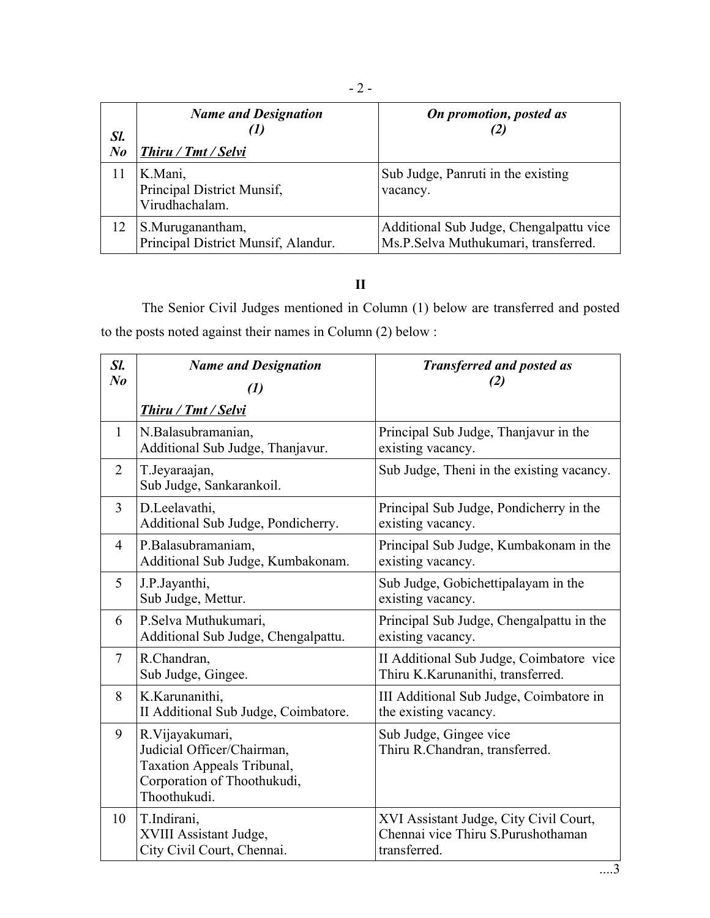| Sl.<br>$N_{0}$ | <b>Name and Designation</b><br>'I)<br>Thiru / Tmt / Selvi | On promotion, posted as                                                         |
|----------------|-----------------------------------------------------------|---------------------------------------------------------------------------------|
| 11             | K.Mani,<br>Principal District Munsif,<br>Virudhachalam.   | Sub Judge, Panruti in the existing<br>vacancy.                                  |
| 12             | S.Muruganantham,<br>Principal District Munsif, Alandur.   | Additional Sub Judge, Chengalpattu vice<br>Ms.P.Selva Muthukumari, transferred. |

## **II**

The Senior Civil Judges mentioned in Column (1) below are transferred and posted to the posts noted against their names in Column (2) below :

| Sl.<br>N <sub>o</sub> | <b>Name and Designation</b><br>$\left(1\right)$                                                                            | <b>Transferred and posted as</b><br>(2)                                                      |
|-----------------------|----------------------------------------------------------------------------------------------------------------------------|----------------------------------------------------------------------------------------------|
|                       | Thiru / Tmt / Selvi                                                                                                        |                                                                                              |
| $\mathbf{1}$          | N.Balasubramanian,<br>Additional Sub Judge, Thanjavur.                                                                     | Principal Sub Judge, Thanjavur in the<br>existing vacancy.                                   |
| $\overline{2}$        | T.Jeyaraajan,<br>Sub Judge, Sankarankoil.                                                                                  | Sub Judge, Theni in the existing vacancy.                                                    |
| $\overline{3}$        | D.Leelavathi,<br>Additional Sub Judge, Pondicherry.                                                                        | Principal Sub Judge, Pondicherry in the<br>existing vacancy.                                 |
| 4                     | P.Balasubramaniam,<br>Additional Sub Judge, Kumbakonam.                                                                    | Principal Sub Judge, Kumbakonam in the<br>existing vacancy.                                  |
| 5                     | J.P.Jayanthi,<br>Sub Judge, Mettur.                                                                                        | Sub Judge, Gobichettipalayam in the<br>existing vacancy.                                     |
| 6                     | P.Selva Muthukumari,<br>Additional Sub Judge, Chengalpattu.                                                                | Principal Sub Judge, Chengalpattu in the<br>existing vacancy.                                |
| $\tau$                | R.Chandran,<br>Sub Judge, Gingee.                                                                                          | II Additional Sub Judge, Coimbatore vice<br>Thiru K.Karunanithi, transferred.                |
| 8                     | K.Karunanithi,<br>II Additional Sub Judge, Coimbatore.                                                                     | III Additional Sub Judge, Coimbatore in<br>the existing vacancy.                             |
| 9                     | R.Vijayakumari,<br>Judicial Officer/Chairman,<br>Taxation Appeals Tribunal,<br>Corporation of Thoothukudi,<br>Thoothukudi. | Sub Judge, Gingee vice<br>Thiru R.Chandran, transferred.                                     |
| 10                    | T.Indirani,<br>XVIII Assistant Judge,<br>City Civil Court, Chennai.                                                        | XVI Assistant Judge, City Civil Court,<br>Chennai vice Thiru S.Purushothaman<br>transferred. |

- 2 -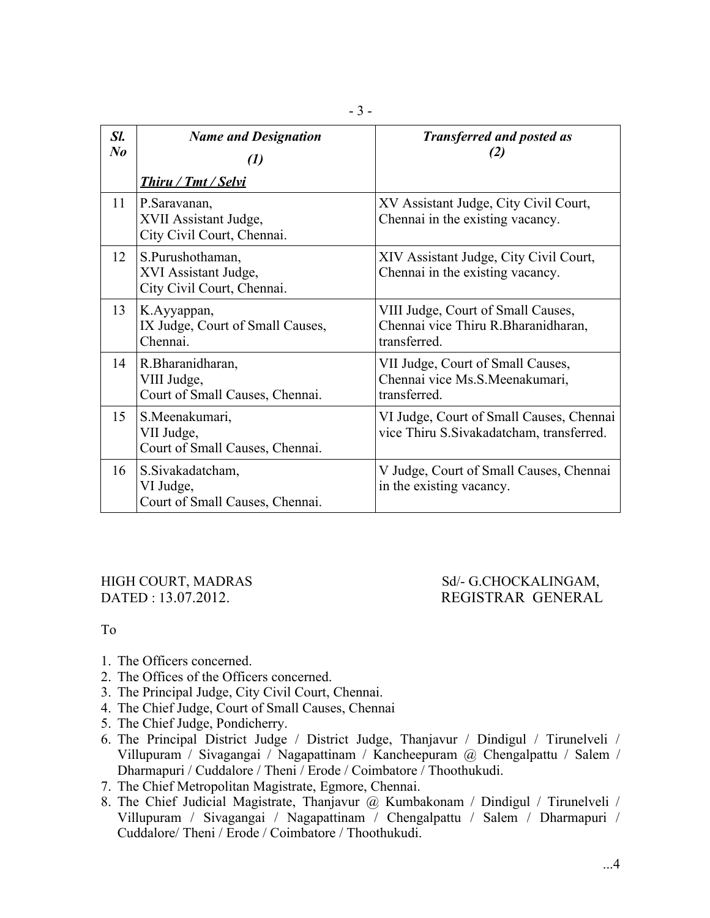| Sl.<br>$\bm{N}$ o | <b>Name and Designation</b><br>(1)                                                         | <b>Transferred and posted as</b><br>(2)                                                    |
|-------------------|--------------------------------------------------------------------------------------------|--------------------------------------------------------------------------------------------|
| 11                | Thiru / Tmt / Selvi<br>P.Saravanan,<br>XVII Assistant Judge,<br>City Civil Court, Chennai. | XV Assistant Judge, City Civil Court,<br>Chennai in the existing vacancy.                  |
| 12                | S.Purushothaman,<br>XVI Assistant Judge,<br>City Civil Court, Chennai.                     | XIV Assistant Judge, City Civil Court,<br>Chennai in the existing vacancy.                 |
| 13                | K.Ayyappan,<br>IX Judge, Court of Small Causes,<br>Chennai.                                | VIII Judge, Court of Small Causes,<br>Chennai vice Thiru R. Bharanidharan,<br>transferred. |
| 14                | R.Bharanidharan,<br>VIII Judge,<br>Court of Small Causes, Chennai.                         | VII Judge, Court of Small Causes,<br>Chennai vice Ms.S.Meenakumari,<br>transferred.        |
| 15                | S.Meenakumari,<br>VII Judge,<br>Court of Small Causes, Chennai.                            | VI Judge, Court of Small Causes, Chennai<br>vice Thiru S. Sivakadatcham, transferred.      |
| 16                | S.Sivakadatcham,<br>VI Judge,<br>Court of Small Causes, Chennai.                           | V Judge, Court of Small Causes, Chennai<br>in the existing vacancy.                        |

### HIGH COURT, MADRAS Sd/- G.CHOCKALINGAM, DATED : 13.07.2012. REGISTRAR GENERAL

# To

- 1. The Officers concerned.
- 2. The Offices of the Officers concerned.
- 3. The Principal Judge, City Civil Court, Chennai.
- 4. The Chief Judge, Court of Small Causes, Chennai
- 5. The Chief Judge, Pondicherry.
- 6. The Principal District Judge / District Judge, Thanjavur / Dindigul / Tirunelveli / Villupuram / Sivagangai / Nagapattinam / Kancheepuram @ Chengalpattu / Salem / Dharmapuri / Cuddalore / Theni / Erode / Coimbatore / Thoothukudi.
- 7. The Chief Metropolitan Magistrate, Egmore, Chennai.
- 8. The Chief Judicial Magistrate, Thanjavur @ Kumbakonam / Dindigul / Tirunelveli / Villupuram / Sivagangai / Nagapattinam / Chengalpattu / Salem / Dharmapuri / Cuddalore/ Theni / Erode / Coimbatore / Thoothukudi.